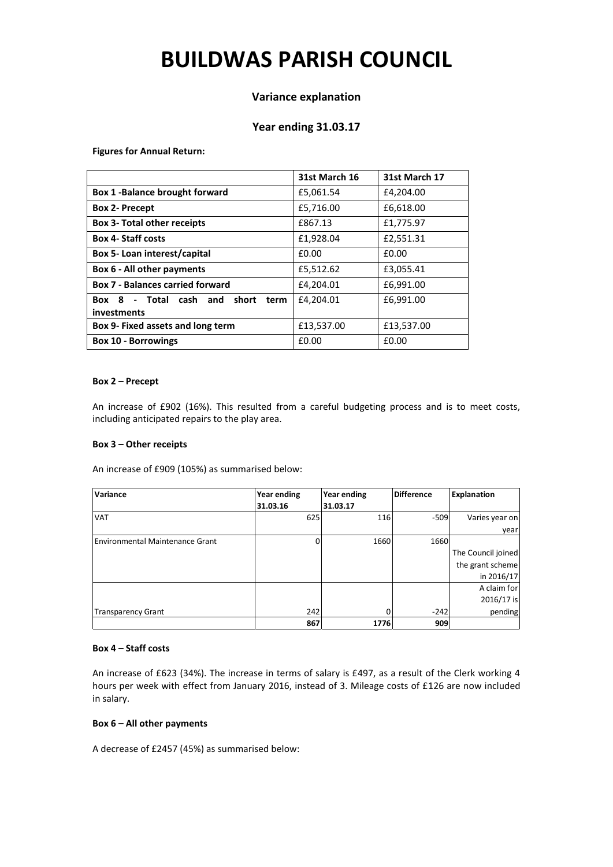# **BUILDWAS PARISH COUNCIL**

## **Variance explanation**

## **Year ending 31.03.17**

**Figures for Annual Return:**

|                                                        | 31st March 16 | 31st March 17 |
|--------------------------------------------------------|---------------|---------------|
| <b>Box 1 -Balance brought forward</b>                  | £5,061.54     | £4,204.00     |
| <b>Box 2- Precept</b>                                  | £5,716.00     | £6,618.00     |
| <b>Box 3- Total other receipts</b>                     | £867.13       | £1,775.97     |
| <b>Box 4- Staff costs</b>                              | £1,928.04     | £2,551.31     |
| Box 5- Loan interest/capital                           | £0.00         | £0.00         |
| Box 6 - All other payments                             | £5,512.62     | £3,055.41     |
| <b>Box 7 - Balances carried forward</b>                | £4,204.01     | £6,991.00     |
| Box 8 - Total cash and<br>short<br>term<br>investments | £4,204.01     | £6,991.00     |
| Box 9- Fixed assets and long term                      | £13,537.00    | £13,537.00    |
| <b>Box 10 - Borrowings</b>                             | £0.00         | £0.00         |

#### **Box 2 – Precept**

An increase of £902 (16%). This resulted from a careful budgeting process and is to meet costs, including anticipated repairs to the play area.

#### **Box 3 – Other receipts**

An increase of £909 (105%) as summarised below:

| Variance                        | <b>Year ending</b> | Year ending | <b>Difference</b> | <b>Explanation</b> |
|---------------------------------|--------------------|-------------|-------------------|--------------------|
|                                 | 31.03.16           | 31.03.17    |                   |                    |
| <b>VAT</b>                      | 625                | 116         | $-509$            | Varies year on     |
|                                 |                    |             |                   | year               |
| Environmental Maintenance Grant | O                  | 1660        | 1660              |                    |
|                                 |                    |             |                   | The Council joined |
|                                 |                    |             |                   | the grant scheme   |
|                                 |                    |             |                   | in 2016/17         |
|                                 |                    |             |                   | A claim for        |
|                                 |                    |             |                   | 2016/17 is         |
| <b>Transparency Grant</b>       | 242                |             | $-242$            | pending            |
|                                 | 867                | 1776        | 909               |                    |

#### **Box 4 – Staff costs**

An increase of £623 (34%). The increase in terms of salary is £497, as a result of the Clerk working 4 hours per week with effect from January 2016, instead of 3. Mileage costs of £126 are now included in salary.

#### **Box 6 – All other payments**

A decrease of £2457 (45%) as summarised below: